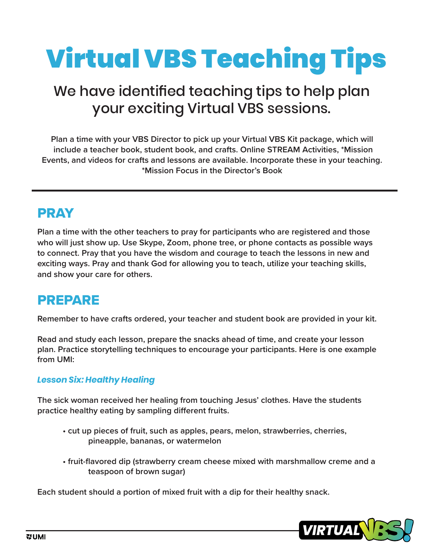# Virtual VBS Teaching Tips

## We have identified teaching tips to help plan your exciting Virtual VBS sessions.

**Plan a time with your VBS Director to pick up your Virtual VBS Kit package, which will include a teacher book, student book, and crafts. Online STREAM Activities, \*Mission Events, and videos for crafts and lessons are available. Incorporate these in your teaching. \*Mission Focus in the Director's Book**

## PRAY

**Plan a time with the other teachers to pray for participants who are registered and those who will just show up. Use Skype, Zoom, phone tree, or phone contacts as possible ways to connect. Pray that you have the wisdom and courage to teach the lessons in new and exciting ways. Pray and thank God for allowing you to teach, utilize your teaching skills, and show your care for others.**

#### PREPARE

**Remember to have crafts ordered, your teacher and student book are provided in your kit.** 

**Read and study each lesson, prepare the snacks ahead of time, and create your lesson plan. Practice storytelling techniques to encourage your participants. Here is one example from UMI:** 

#### *Lesson Six: Healthy Healing*

**The sick woman received her healing from touching Jesus' clothes. Have the students practice healthy eating by sampling different fruits.**

- **cut up pieces of fruit, such as apples, pears, melon, strawberries, cherries, pineapple, bananas, or watermelon**
- **fruit-flavored dip (strawberry cream cheese mixed with marshmallow creme and a teaspoon of brown sugar)**

**Each student should a portion of mixed fruit with a dip for their healthy snack.**